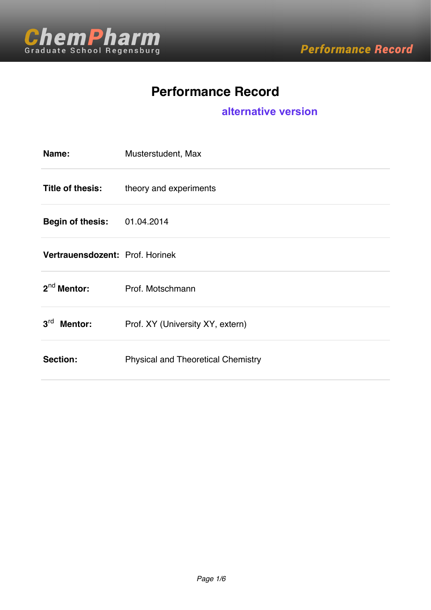

# **Performance Record**

### **alternative version**

| Name:                             | Musterstudent, Max                        |
|-----------------------------------|-------------------------------------------|
| Title of thesis:                  | theory and experiments                    |
| <b>Begin of thesis:</b>           | 01.04.2014                                |
| Vertrauensdozent: Prof. Horinek   |                                           |
| $2^{nd}$ Mentor:                  | Prof. Motschmann                          |
| 3 <sup>rd</sup><br><b>Mentor:</b> | Prof. XY (University XY, extern)          |
| Section:                          | <b>Physical and Theoretical Chemistry</b> |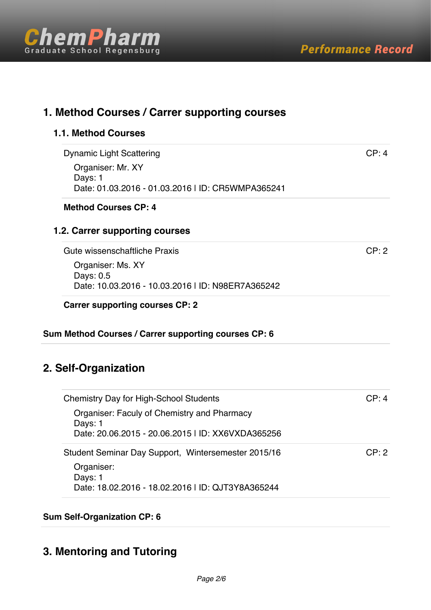

| <b>Dynamic Light Scattering</b>                              | CP: 4 |
|--------------------------------------------------------------|-------|
| Organiser: Mr. XY                                            |       |
| Days: 1                                                      |       |
| Date: 01.03.2016 - 01.03.2016   ID: CR5WMPA365241            |       |
| <b>Method Courses CP: 4</b>                                  |       |
| 1.2. Carrer supporting courses                               |       |
| Gute wissenschaftliche Praxis                                | CP: 2 |
| Organiser: Ms. XY                                            |       |
|                                                              |       |
| Days: 0.5                                                    |       |
| Date: 10.03.2016 - 10.03.2016   ID: N98ER7A365242            |       |
| <b>Carrer supporting courses CP: 2</b>                       |       |
|                                                              |       |
| Sum Method Courses / Carrer supporting courses CP: 6         |       |
|                                                              |       |
|                                                              |       |
|                                                              |       |
| <b>Chemistry Day for High-School Students</b>                | CP: 4 |
| Organiser: Faculy of Chemistry and Pharmacy                  |       |
| Days: 1                                                      |       |
| Date: 20.06.2015 - 20.06.2015   ID: XX6VXDA365256            |       |
| Student Seminar Day Support, Wintersemester 2015/16          |       |
| 2. Self-Organization<br>Organiser:                           | CP: 2 |
| Days: 1<br>Date: 18.02.2016 - 18.02.2016   ID: QJT3Y8A365244 |       |

# **3. Mentoring and Tutoring**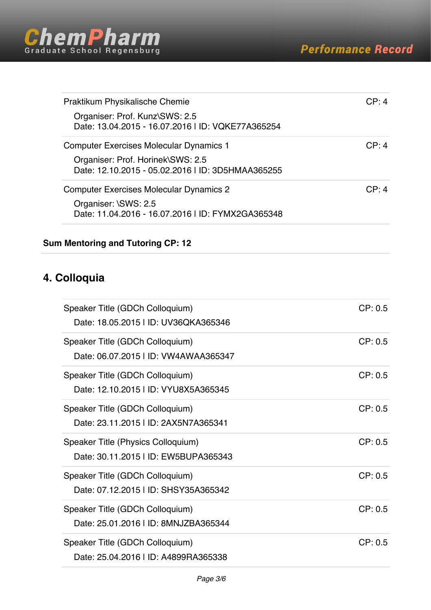

| Organiser: Prof. Kunz\SWS: 2.5<br>Date: 13.04.2015 - 16.07.2016   ID: VQKE77A365254<br><b>Computer Exercises Molecular Dynamics 1</b> |       |
|---------------------------------------------------------------------------------------------------------------------------------------|-------|
|                                                                                                                                       |       |
|                                                                                                                                       | CP: 4 |
| Organiser: Prof. Horinek\SWS: 2.5<br>Date: 12.10.2015 - 05.02.2016   ID: 3D5HMAA365255                                                |       |
| <b>Computer Exercises Molecular Dynamics 2</b>                                                                                        | CP: 4 |
| Organiser: \SWS: 2.5<br>Date: 11.04.2016 - 16.07.2016   ID: FYMX2GA365348                                                             |       |

### **Sum Mentoring and Tutoring CP: 12**

## **4. Colloquia**

| Speaker Title (GDCh Colloquium)<br>Date: 18.05.2015   ID: UV36QKA365346    | CP: 0.5 |
|----------------------------------------------------------------------------|---------|
| Speaker Title (GDCh Colloquium)<br>Date: 06.07.2015   ID: VW4AWAA365347    | CP: 0.5 |
| Speaker Title (GDCh Colloquium)<br>Date: 12.10.2015   ID: VYU8X5A365345    | CP: 0.5 |
| Speaker Title (GDCh Colloquium)<br>Date: 23.11.2015   ID: 2AX5N7A365341    | CP: 0.5 |
| Speaker Title (Physics Colloquium)<br>Date: 30.11.2015   ID: EW5BUPA365343 | CP: 0.5 |
| Speaker Title (GDCh Colloquium)<br>Date: 07.12.2015   ID: SHSY35A365342    | CP: 0.5 |
| Speaker Title (GDCh Colloquium)                                            | CP: 0.5 |
| Date: 25.01.2016   ID: 8MNJZBA365344                                       |         |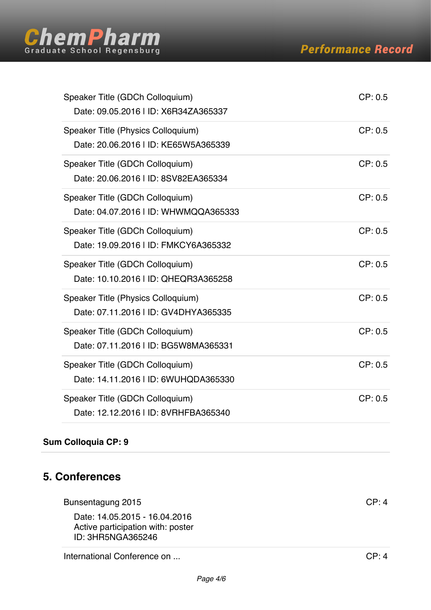

| Speaker Title (GDCh Colloquium)<br>Date: 09.05.2016   ID: X6R34ZA365337    | CP: 0.5 |
|----------------------------------------------------------------------------|---------|
| Speaker Title (Physics Colloquium)<br>Date: 20.06.2016   ID: KE65W5A365339 | CP: 0.5 |
| Speaker Title (GDCh Colloquium)<br>Date: 20.06.2016   ID: 8SV82EA365334    | CP: 0.5 |
| Speaker Title (GDCh Colloquium)<br>Date: 04.07.2016   ID: WHWMQQA365333    | CP: 0.5 |
| Speaker Title (GDCh Colloquium)<br>Date: 19.09.2016   ID: FMKCY6A365332    | CP: 0.5 |
| Speaker Title (GDCh Colloquium)<br>Date: 10.10.2016   ID: QHEQR3A365258    | CP: 0.5 |
| Speaker Title (Physics Colloquium)<br>Date: 07.11.2016   ID: GV4DHYA365335 | CP: 0.5 |
| Speaker Title (GDCh Colloquium)<br>Date: 07.11.2016   ID: BG5W8MA365331    | CP: 0.5 |
| Speaker Title (GDCh Colloquium)<br>Date: 14.11.2016   ID: 6WUHQDA365330    | CP: 0.5 |
| Speaker Title (GDCh Colloquium)<br>Date: 12.12.2016   ID: 8VRHFBA365340    | CP: 0.5 |

### **Sum Colloquia CP: 9**

## **5. Conferences**

| Bunsentagung 2015                                                                       | CP.4 |
|-----------------------------------------------------------------------------------------|------|
| Date: 14.05.2015 - 16.04.2016<br>Active participation with: poster<br>ID: 3HR5NGA365246 |      |
|                                                                                         |      |

International Conference on ... CP: 4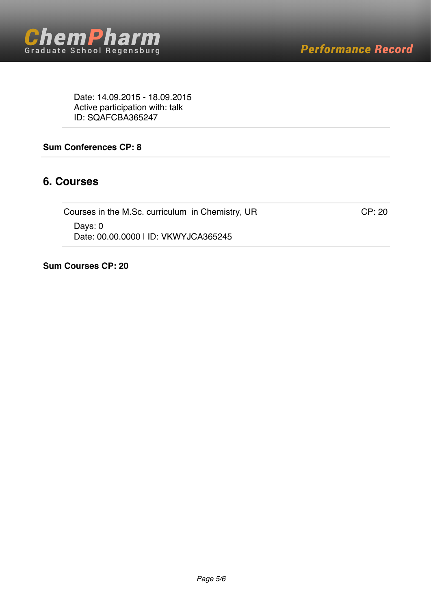

Date: 14.09.2015 - 18.09.2015 Active participation with: talk ID: SQAFCBA365247

#### **Sum Conferences CP: 8**

### **6. Courses**

Courses in the M.Sc. curriculum in Chemistry, UR CP: 20 Days: 0 Date: 00.00.0000 | ID: VKWYJCA365245

#### **Sum Courses CP: 20**